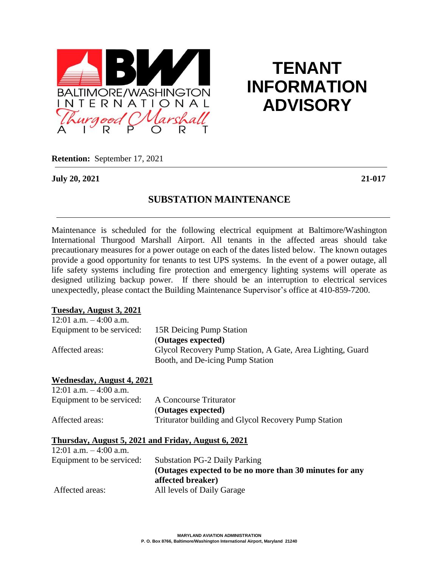

# **TENANT INFORMATION ADVISORY**

**Retention:** September 17, 2021

**July 20, 2021 21-017**

### **SUBSTATION MAINTENANCE**

Maintenance is scheduled for the following electrical equipment at Baltimore/Washington International Thurgood Marshall Airport. All tenants in the affected areas should take precautionary measures for a power outage on each of the dates listed below. The known outages provide a good opportunity for tenants to test UPS systems. In the event of a power outage, all life safety systems including fire protection and emergency lighting systems will operate as designed utilizing backup power. If there should be an interruption to electrical services unexpectedly, please contact the Building Maintenance Supervisor's office at 410-859-7200.

### **Tuesday, August 3, 2021**

| 12:01 a.m. $-4:00$ a.m.   |                                                            |
|---------------------------|------------------------------------------------------------|
| Equipment to be serviced: | 15R Deicing Pump Station                                   |
|                           | (Outages expected)                                         |
| Affected areas:           | Glycol Recovery Pump Station, A Gate, Area Lighting, Guard |
|                           | Booth, and De-icing Pump Station                           |

#### **Wednesday, August 4, 2021**  $12:01$  a.m.  $-4:00$  a.m.

| Equipment to be serviced: | A Concourse Triturator                               |
|---------------------------|------------------------------------------------------|
|                           | (Outages expected)                                   |
| Affected areas:           | Triturator building and Glycol Recovery Pump Station |

### **Thursday, August 5, 2021 and Friday, August 6, 2021**

| 12:01 a.m. $-4:00$ a.m.   |                                                         |
|---------------------------|---------------------------------------------------------|
| Equipment to be serviced: | <b>Substation PG-2 Daily Parking</b>                    |
|                           | (Outages expected to be no more than 30 minutes for any |
|                           | affected breaker)                                       |
| Affected areas:           | All levels of Daily Garage                              |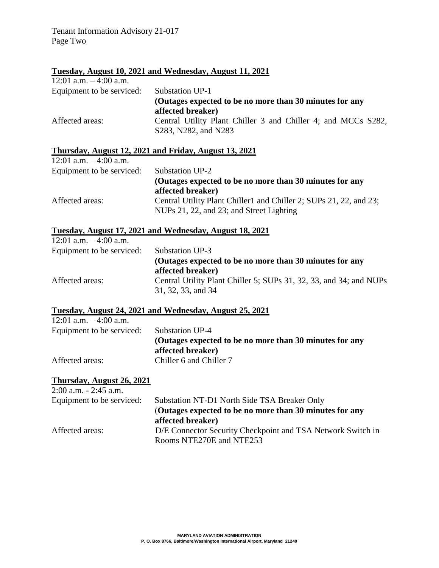### **Tuesday, August 10, 2021 and Wednesday, August 11, 2021**

| 12:01 a.m. $-4:00$ a.m.   |                                                                                       |
|---------------------------|---------------------------------------------------------------------------------------|
| Equipment to be serviced: | <b>Substation UP-1</b>                                                                |
|                           | (Outages expected to be no more than 30 minutes for any<br>affected breaker)          |
| Affected areas:           | Central Utility Plant Chiller 3 and Chiller 4; and MCCs S282,<br>S283, N282, and N283 |

### **Thursday, August 12, 2021 and Friday, August 13, 2021**

| 12:01 a.m. $-4:00$ a.m.   |                                                                    |
|---------------------------|--------------------------------------------------------------------|
| Equipment to be serviced: | Substation UP-2                                                    |
|                           | (Outages expected to be no more than 30 minutes for any            |
|                           | affected breaker)                                                  |
| Affected areas:           | Central Utility Plant Chiller1 and Chiller 2; SUPs 21, 22, and 23; |
|                           | NUPs 21, 22, and 23; and Street Lighting                           |

## **Tuesday, August 17, 2021 and Wednesday, August 18, 2021**

| 12:01 a.m. $-4:00$ a.m.   |                                                                              |
|---------------------------|------------------------------------------------------------------------------|
| Equipment to be serviced: | Substation UP-3                                                              |
|                           | (Outages expected to be no more than 30 minutes for any<br>affected breaker) |
| Affected areas:           | Central Utility Plant Chiller 5; SUPs 31, 32, 33, and 34; and NUPs           |
|                           | 31, 32, 33, and 34                                                           |

### **Tuesday, August 24, 2021 and Wednesday, August 25, 2021**

| 12:01 a.m. $-4:00$ a.m.   |                                                                              |
|---------------------------|------------------------------------------------------------------------------|
| Equipment to be serviced: | Substation UP-4                                                              |
|                           | (Outages expected to be no more than 30 minutes for any<br>affected breaker) |
| Affected areas:           | Chiller 6 and Chiller 7                                                      |

### **Thursday, August 26, 2021**

| $2:00$ a.m. $-2:45$ a.m.  |                                                                                         |
|---------------------------|-----------------------------------------------------------------------------------------|
| Equipment to be serviced: | Substation NT-D1 North Side TSA Breaker Only                                            |
|                           | (Outages expected to be no more than 30 minutes for any                                 |
|                           | affected breaker)                                                                       |
| Affected areas:           | D/E Connector Security Checkpoint and TSA Network Switch in<br>Rooms NTE270E and NTE253 |
|                           |                                                                                         |